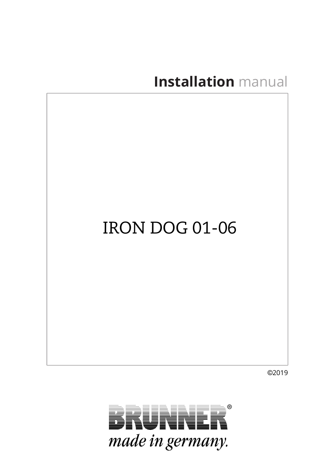# **Installation** manual

# IRON DOG 01-06

©2019

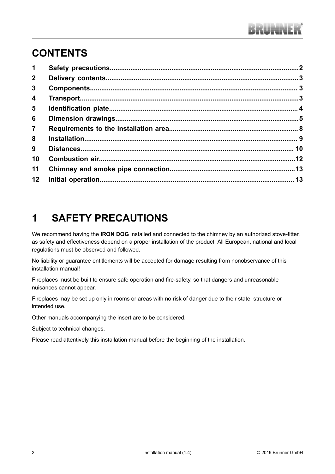### **CONTENTS**

| $\mathbf 1$             |  |
|-------------------------|--|
| $2^{\circ}$             |  |
| $\mathbf{3}$            |  |
| $\overline{\mathbf{4}}$ |  |
| 5                       |  |
| 6                       |  |
| $\overline{7}$          |  |
| 8                       |  |
| 9                       |  |
| 10                      |  |
| 11                      |  |
| 12                      |  |

### **1 SAFETY PRECAUTIONS**

<span id="page-1-0"></span>We recommend having the **IRON DOG** installed and connected to the chimney by an authorized stove-fitter, as safety and effectiveness depend on a proper installation of the product. All European, national and local regulations must be observed and followed.

No liability or guarantee entitlements will be accepted for damage resulting from nonobservance of this installation manual!

Fireplaces must be built to ensure safe operation and fire-safety, so that dangers and unreasonable nuisances cannot appear.

Fireplaces may be set up only in rooms or areas with no risk of danger due to their state, structure or intended use.

Other manuals accompanying the insert are to be considered.

Subject to technical changes.

Please read attentively this installation manual before the beginning of the installation.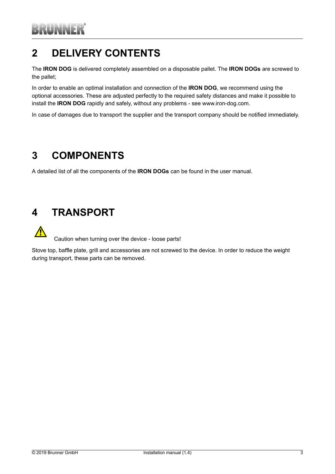### **2 DELIVERY CONTENTS**

<span id="page-2-0"></span>The **IRON DOG** is delivered completely assembled on a disposable pallet. The **IRON DOGs** are screwed to the pallet;

In order to enable an optimal installation and connection of the **IRON DOG**, we recommend using the optional accessories. These are adjusted perfectly to the required safety distances and make it possible to install the **IRON DOG** rapidly and safely, without any problems - see www.iron-dog.com.

In case of damages due to transport the supplier and the transport company should be notified immediately.

### **3 COMPONENTS**

<span id="page-2-1"></span>A detailed list of all the components of the **IRON DOGs** can be found in the user manual.

### <span id="page-2-2"></span>**4 TRANSPORT**

Caution when turning over the device - loose parts!

Stove top, baffle plate, grill and accessories are not screwed to the device. In order to reduce the weight during transport, these parts can be removed.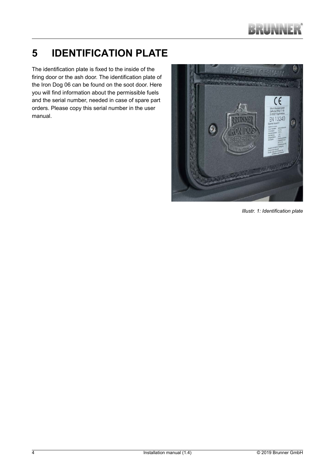## **5 IDENTIFICATION PLATE**

<span id="page-3-0"></span>The identification plate is fixed to the inside of the firing door or the ash door. The identification plate of the Iron Dog 06 can be found on the soot door. Here you will find information about the permissible fuels and the serial number, needed in case of spare part orders. Please copy this serial number in the user manual.



*Illustr. 1: Identification plate*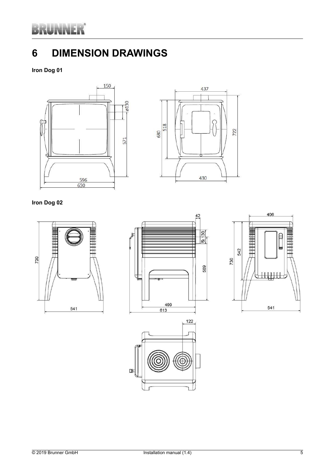# RUNNER

### **6 DIMENSION DRAWINGS**

<span id="page-4-0"></span>**Iron Dog 01**





#### **Iron Dog 02**







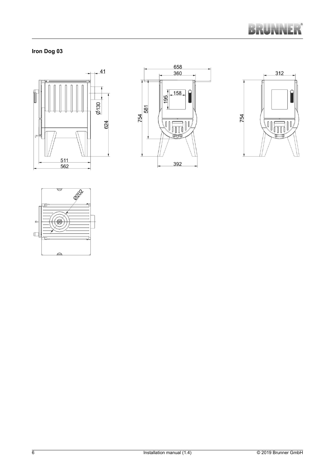

### **Iron Dog 03**







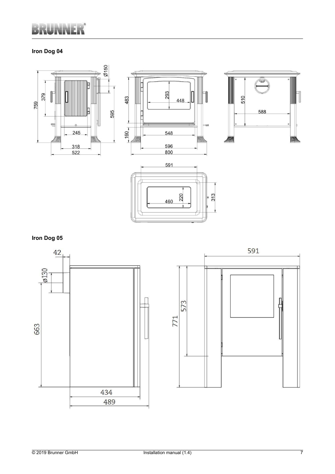# **UNNER**

### **Iron Dog 04**













489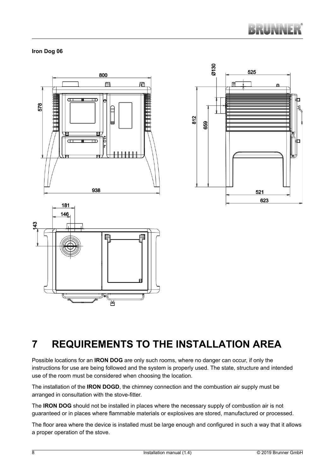

#### **Iron Dog 06**



### **7 REQUIREMENTS TO THE INSTALLATION AREA**

<span id="page-7-0"></span>Possible locations for an **IRON DOG** are only such rooms, where no danger can occur, if only the instructions for use are being followed and the system is properly used. The state, structure and intended use of the room must be considered when choosing the location.

The installation of the **IRON DOGD**, the chimney connection and the combustion air supply must be arranged in consultation with the stove-fitter.

The **IRON DOG** should not be installed in places where the necessary supply of combustion air is not guaranteed or in places where flammable materials or explosives are stored, manufactured or processed.

The floor area where the device is installed must be large enough and configured in such a way that it allows a proper operation of the stove.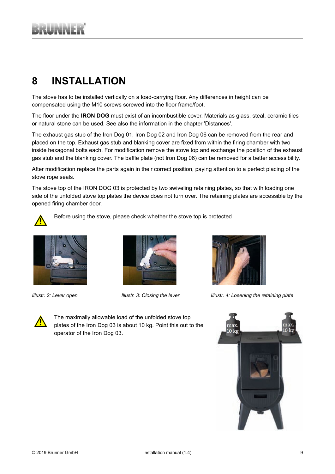## **8 INSTALLATION**

<span id="page-8-0"></span>The stove has to be installed vertically on a load-carrying floor. Any differences in height can be compensated using the M10 screws screwed into the floor frame/foot.

The floor under the **IRON DOG** must exist of an incombustible cover. Materials as glass, steal, ceramic tiles or natural stone can be used. See also the information in the chapter 'Distances'.

The exhaust gas stub of the Iron Dog 01, Iron Dog 02 and Iron Dog 06 can be removed from the rear and placed on the top. Exhaust gas stub and blanking cover are fixed from within the firing chamber with two inside hexagonal bolts each. For modification remove the stove top and exchange the position of the exhaust gas stub and the blanking cover. The baffle plate (not Iron Dog 06) can be removed for a better accessibility.

After modification replace the parts again in their correct position, paying attention to a perfect placing of the stove rope seals.

The stove top of the IRON DOG 03 is protected by two swiveling retaining plates, so that with loading one side of the unfolded stove top plates the device does not turn over. The retaining plates are accessible by the opened firing chamber door.



Before using the stove, please check whether the stove top is protected







*Illustr. 2: Lever open Illustr. 3: Closing the lever Illustr. 4: Losening the retaining plate*



The maximally allowable load of the unfolded stove top plates of the Iron Dog 03 is about 10 kg. Point this out to the operator of the Iron Dog 03.

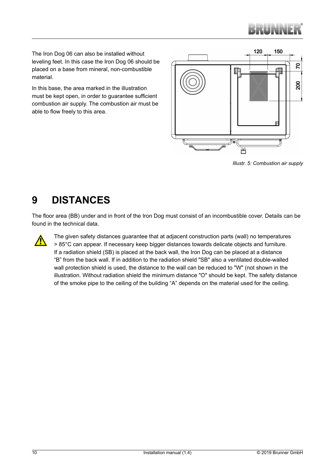

The Iron Dog 06 can also be installed without leveling feet. In this case the Iron Dog 06 should be placed on a base from mineral, non-combustible material.

In this base, the area marked in the illustration must be kept open, in order to guarantee sufficient combustion air supply. The combustion air must be able to flow freely to this area.



*Illustr. 5: Combustion air supply*

### **9 DISTANCES**

<span id="page-9-0"></span>The floor area (BB) under and in front of the Iron Dog must consist of an incombustible cover. Details can be found in the technical data.



The given safety distances guarantee that at adjacent construction parts (wall) no temperatures > 85°C can appear. If necessary keep bigger distances towards delicate objects and furniture. If a radiation shield (SB) is placed at the back wall, the Iron Dog can be placed at a distance "B" from the back wall. If in addition to the radiation shield "SB" also a ventilated double-walled wall protection shield is used, the distance to the wall can be reduced to "W" (not shown in the illustration. Without radiation shield the minimum distance "O" should be kept. The safety distance of the smoke pipe to the ceiling of the building "A" depends on the material used for the ceiling.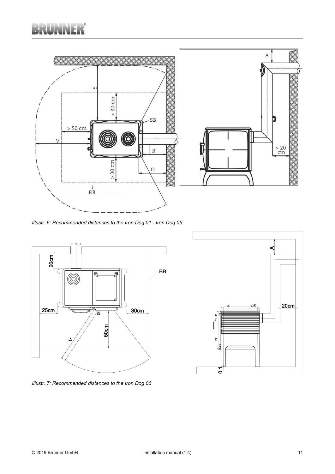

*Illustr. 6: Recommended distances to the Iron Dog 01 - Iron Dog 05*





*Illustr. 7: Recommended distances to the Iron Dog 06*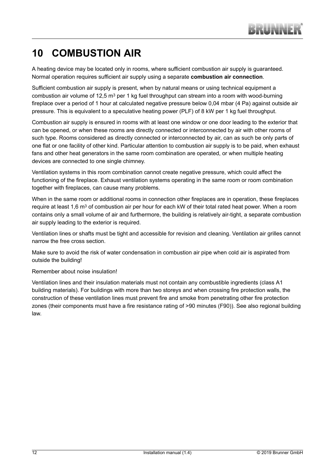### **10 COMBUSTION AIR**

<span id="page-11-0"></span>A heating device may be located only in rooms, where sufficient combustion air supply is guaranteed. Normal operation requires sufficient air supply using a separate **combustion air connection**.

Sufficient combustion air supply is present, when by natural means or using technical equipment a combustion air volume of 12,5  $m<sup>3</sup>$  per 1 kg fuel throughput can stream into a room with wood-burning fireplace over a period of 1 hour at calculated negative pressure below 0,04 mbar (4 Pa) against outside air pressure. This is equivalent to a speculative heating power (PLF) of 8 kW per 1 kg fuel throughput.

Combustion air supply is ensured in rooms with at least one window or one door leading to the exterior that can be opened, or when these rooms are directly connected or interconnected by air with other rooms of such type. Rooms considered as directly connected or interconnected by air, can as such be only parts of one flat or one facility of other kind. Particular attention to combustion air supply is to be paid, when exhaust fans and other heat generators in the same room combination are operated, or when multiple heating devices are connected to one single chimney.

Ventilation systems in this room combination cannot create negative pressure, which could affect the functioning of the fireplace. Exhaust ventilation systems operating in the same room or room combination together with fireplaces, can cause many problems.

When in the same room or additional rooms in connection other fireplaces are in operation, these fireplaces require at least 1.6 m<sup>3</sup> of combustion air per hour for each kW of their total rated heat power. When a room contains only a small volume of air and furthermore, the building is relatively air-tight, a separate combustion air supply leading to the exterior is required.

Ventilation lines or shafts must be tight and accessible for revision and cleaning. Ventilation air grilles cannot narrow the free cross section.

Make sure to avoid the risk of water condensation in combustion air pipe when cold air is aspirated from outside the building!

#### Remember about noise insulation!

Ventilation lines and their insulation materials must not contain any combustible ingredients (class A1 building materials). For buildings with more than two storeys and when crossing fire protection walls, the construction of these ventilation lines must prevent fire and smoke from penetrating other fire protection zones (their components must have a fire resistance rating of >90 minutes (F90)). See also regional building law.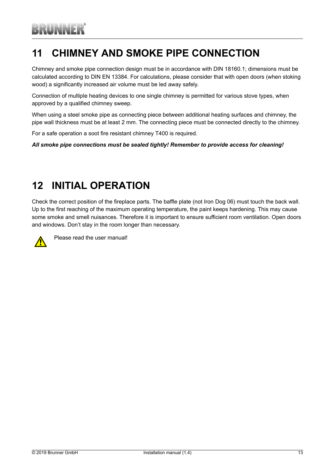### **11 CHIMNEY AND SMOKE PIPE CONNECTION**

<span id="page-12-0"></span>Chimney and smoke pipe connection design must be in accordance with DIN 18160.1; dimensions must be calculated according to DIN EN 13384. For calculations, please consider that with open doors (when stoking wood) a significantly increased air volume must be led away safely.

Connection of multiple heating devices to one single chimney is permitted for various stove types, when approved by a qualified chimney sweep.

When using a steel smoke pipe as connecting piece between additional heating surfaces and chimney, the pipe wall thickness must be at least 2 mm. The connecting piece must be connected directly to the chimney.

For a safe operation a soot fire resistant chimney T400 is required.

*All smoke pipe connections must be sealed tightly! Remember to provide access for cleaning!*

### **12 INITIAL OPERATION**

<span id="page-12-1"></span>Check the correct position of the fireplace parts. The baffle plate (not Iron Dog 06) must touch the back wall. Up to the first reaching of the maximum operating temperature, the paint keeps hardening. This may cause some smoke and smell nuisances. Therefore it is important to ensure sufficient room ventilation. Open doors and windows. Don't stay in the room longer than necessary.



Please read the user manual!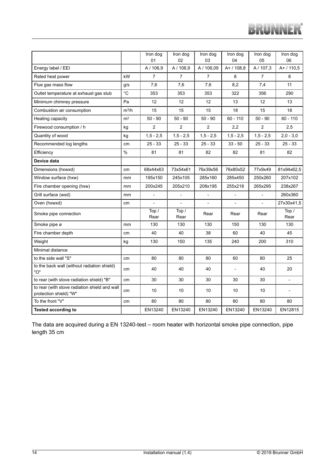|                                                                         |                | Iron dog<br>01 | Iron dog<br>02 | Iron dog<br>03 | Iron dog<br>04 | Iron dog<br>05           | Iron dog<br>06           |
|-------------------------------------------------------------------------|----------------|----------------|----------------|----------------|----------------|--------------------------|--------------------------|
| Energy label / EEI                                                      |                | A / 106,9      | A / 106,9      | A / 106,09     | A+/108,8       | A / 107,3                | A+ / 110,5               |
| Rated heat power                                                        | kW             | $\overline{7}$ | $\overline{7}$ | $\overline{7}$ | 8              | $\overline{7}$           | 8                        |
| Flue gas mass flow                                                      | g/s            | 7,6            | 7,6            | 7.6            | 8,2            | 7,4                      | 11                       |
| Outlet temperature at exhaust gas stub                                  | $^{\circ}C$    | 353            | 353            | 353            | 322            | 356                      | 290                      |
| Minimum chimney pressure                                                | Pa             | 12             | 12             | 12             | 13             | 12                       | 13                       |
| Combustion air consumption                                              | $m^3/h$        | 15             | 15             | 15             | 18             | 15                       | 18                       |
| Heating capacity                                                        | m <sup>2</sup> | $50 - 90$      | $50 - 90$      | $50 - 90$      | $60 - 110$     | $50 - 90$                | $60 - 110$               |
| Firewood consumption / h                                                | kg             | $\overline{2}$ | $\overline{2}$ | $\overline{2}$ | 2,2            | $\overline{2}$           | 2,5                      |
| Quantity of wood                                                        | kg             | $1,5 - 2,5$    | $1,5 - 2,5$    | $1,5 - 2,5$    | $1,5 - 2,5$    | $1,5 - 2,5$              | $2,0 - 3,0$              |
| Recommended log lengths                                                 | cm             | $25 - 33$      | $25 - 33$      | $25 - 33$      | $33 - 50$      | $25 - 33$                | $25 - 33$                |
| Efficiency                                                              | $\frac{0}{0}$  | 81             | 81             | 82             | 82             | 81                       | 82                       |
| Device data                                                             |                |                |                |                |                |                          |                          |
| Dimensions (hxwxd)                                                      | cm             | 68x44x63       | 73x54x61       | 76x39x56       | 76x80x52       | 77x9x49                  | 81x94x62,5               |
| Window surface (hxw)                                                    | mm             | 195x150        | 245x105        | 285x160        | 285x450        | 250x260                  | 207x102                  |
| Fire chamber opening (hxw)                                              | mm             | 200x245        | 205x210        | 208x195        | 255x218        | 265x295                  | 238x267                  |
| Grill surface (wxd)                                                     | mm             |                |                |                |                |                          | 260x360                  |
| Oven (hxwxd)                                                            | cm             |                |                | $\overline{a}$ | $\overline{a}$ | $\overline{\phantom{0}}$ | 27x30x41,5               |
| Smoke pipe connection                                                   |                | Top /<br>Rear  | Top /<br>Rear  | Rear           | Rear           | Rear                     | Top /<br>Rear            |
| Smoke pipe ø                                                            | mm             | 130            | 130            | 130            | 150            | 130                      | 130                      |
| Fire chamber depth                                                      | cm             | 40             | 40             | 38             | 60             | 40                       | 45                       |
| Weight                                                                  | kg             | 130            | 150            | 135            | 240            | 200                      | 310                      |
| Minimal distance                                                        |                |                |                |                |                |                          |                          |
| to the side wall "S"                                                    | cm             | 80             | 80             | 80             | 60             | 80                       | 25                       |
| to the back wall (without radiation shield)<br>"ס"                      | cm             | 40             | 40             | 40             |                | 40                       | 20                       |
| to rear (with stove radiation shield) "B"                               | cm             | 30             | 30             | 30             | 30             | 30                       | $\overline{\phantom{a}}$ |
| to rear (with stove radiation shield and wall<br>protection shield) "W" | cm             | 10             | 10             | 10             | 10             | 10                       |                          |
| To the front "V"                                                        | cm             | 80             | 80             | 80             | 80             | 80                       | 80                       |
| <b>Tested according to</b>                                              |                | EN13240        | EN13240        | EN13240        | EN13240        | EN13240                  | EN12815                  |

The data are acquired during a EN 13240-test – room heater with horizontal smoke pipe connection, pipe length 35 cm